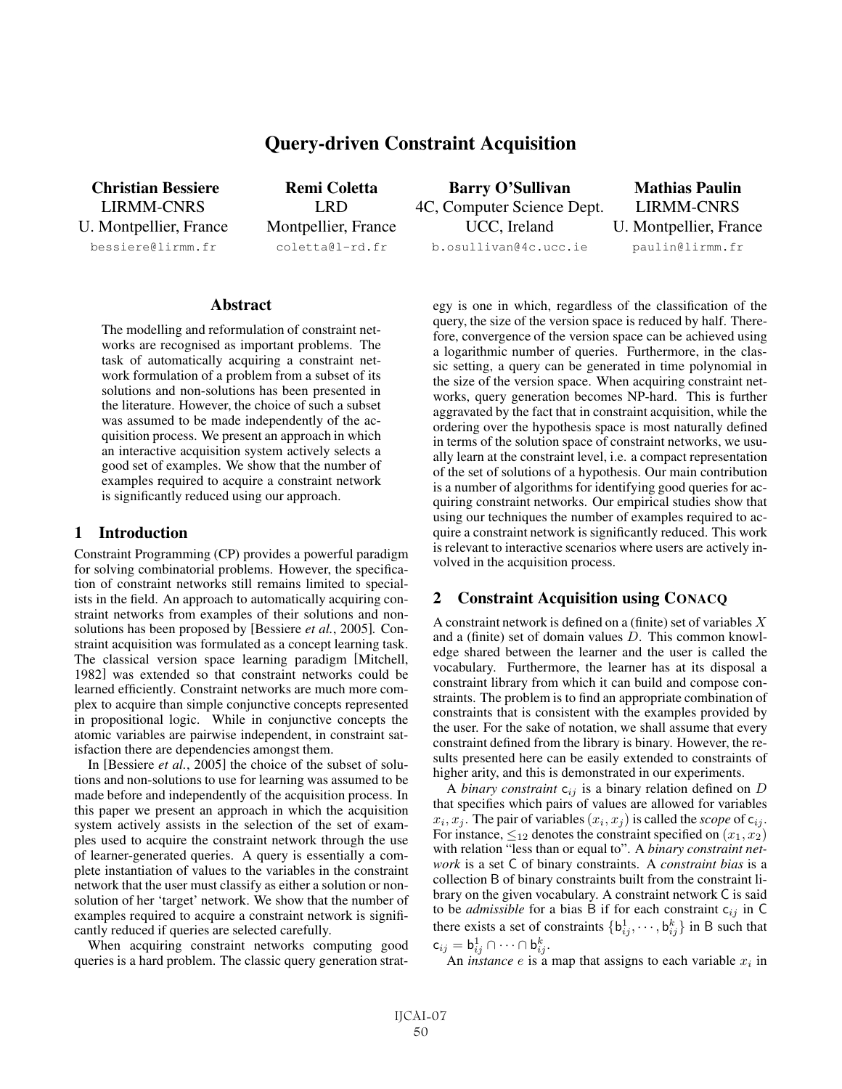# Query-driven Constraint Acquisition

Christian Bessiere LIRMM-CNRS U. Montpellier, France

bessiere@lirmm.fr

Remi Coletta LRD Montpellier, France coletta@l-rd.fr

Barry O'Sullivan 4C, Computer Science Dept. UCC, Ireland b.osullivan@4c.ucc.ie

Mathias Paulin LIRMM-CNRS U. Montpellier, France paulin@lirmm.fr

#### **Abstract**

The modelling and reformulation of constraint networks are recognised as important problems. The task of automatically acquiring a constraint network formulation of a problem from a subset of its solutions and non-solutions has been presented in the literature. However, the choice of such a subset was assumed to be made independently of the acquisition process. We present an approach in which an interactive acquisition system actively selects a good set of examples. We show that the number of examples required to acquire a constraint network is significantly reduced using our approach.

#### 1 Introduction

Constraint Programming (CP) provides a powerful paradigm for solving combinatorial problems. However, the specification of constraint networks still remains limited to specialists in the field. An approach to automatically acquiring constraint networks from examples of their solutions and nonsolutions has been proposed by [Bessiere *et al.*, 2005]. Constraint acquisition was formulated as a concept learning task. The classical version space learning paradigm [Mitchell, 1982] was extended so that constraint networks could be learned efficiently. Constraint networks are much more complex to acquire than simple conjunctive concepts represented in propositional logic. While in conjunctive concepts the atomic variables are pairwise independent, in constraint satisfaction there are dependencies amongst them.

In [Bessiere *et al.*, 2005] the choice of the subset of solutions and non-solutions to use for learning was assumed to be made before and independently of the acquisition process. In this paper we present an approach in which the acquisition system actively assists in the selection of the set of examples used to acquire the constraint network through the use of learner-generated queries. A query is essentially a complete instantiation of values to the variables in the constraint network that the user must classify as either a solution or nonsolution of her 'target' network. We show that the number of examples required to acquire a constraint network is significantly reduced if queries are selected carefully.

When acquiring constraint networks computing good queries is a hard problem. The classic query generation strategy is one in which, regardless of the classification of the query, the size of the version space is reduced by half. Therefore, convergence of the version space can be achieved using a logarithmic number of queries. Furthermore, in the classic setting, a query can be generated in time polynomial in the size of the version space. When acquiring constraint networks, query generation becomes NP-hard. This is further aggravated by the fact that in constraint acquisition, while the ordering over the hypothesis space is most naturally defined in terms of the solution space of constraint networks, we usually learn at the constraint level, i.e. a compact representation of the set of solutions of a hypothesis. Our main contribution is a number of algorithms for identifying good queries for acquiring constraint networks. Our empirical studies show that using our techniques the number of examples required to acquire a constraint network is significantly reduced. This work is relevant to interactive scenarios where users are actively involved in the acquisition process.

## 2 Constraint Acquisition using CONACQ

A constraint network is defined on a (finite) set of variables X and a (finite) set of domain values D. This common knowledge shared between the learner and the user is called the vocabulary. Furthermore, the learner has at its disposal a constraint library from which it can build and compose constraints. The problem is to find an appropriate combination of constraints that is consistent with the examples provided by the user. For the sake of notation, we shall assume that every constraint defined from the library is binary. However, the results presented here can be easily extended to constraints of higher arity, and this is demonstrated in our experiments.

A *binary constraint*  $c_{ij}$  is a binary relation defined on  $D$ that specifies which pairs of values are allowed for variables  $x_i, x_j$ . The pair of variables  $(x_i, x_j)$  is called the *scope* of  $c_{ij}$ . For instance,  $\leq_{12}$  denotes the constraint specified on  $(x_1, x_2)$ with relation "less than or equal to". A *binary constraint network* is a set C of binary constraints. A *constraint bias* is a collection B of binary constraints built from the constraint library on the given vocabulary. A constraint network C is said to be *admissible* for a bias B if for each constraint  $c_{ij}$  in C there exists a set of constraints  $\{b_{ij}^1, \dots, b_{ij}^k\}$  in B such that  $\mathsf{c}_{ij} = \mathsf{b}_{ij}^1 \cap \cdots \cap \mathsf{b}_{ij}^k.$ 

An *instance*  $e$  is a map that assigns to each variable  $x_i$  in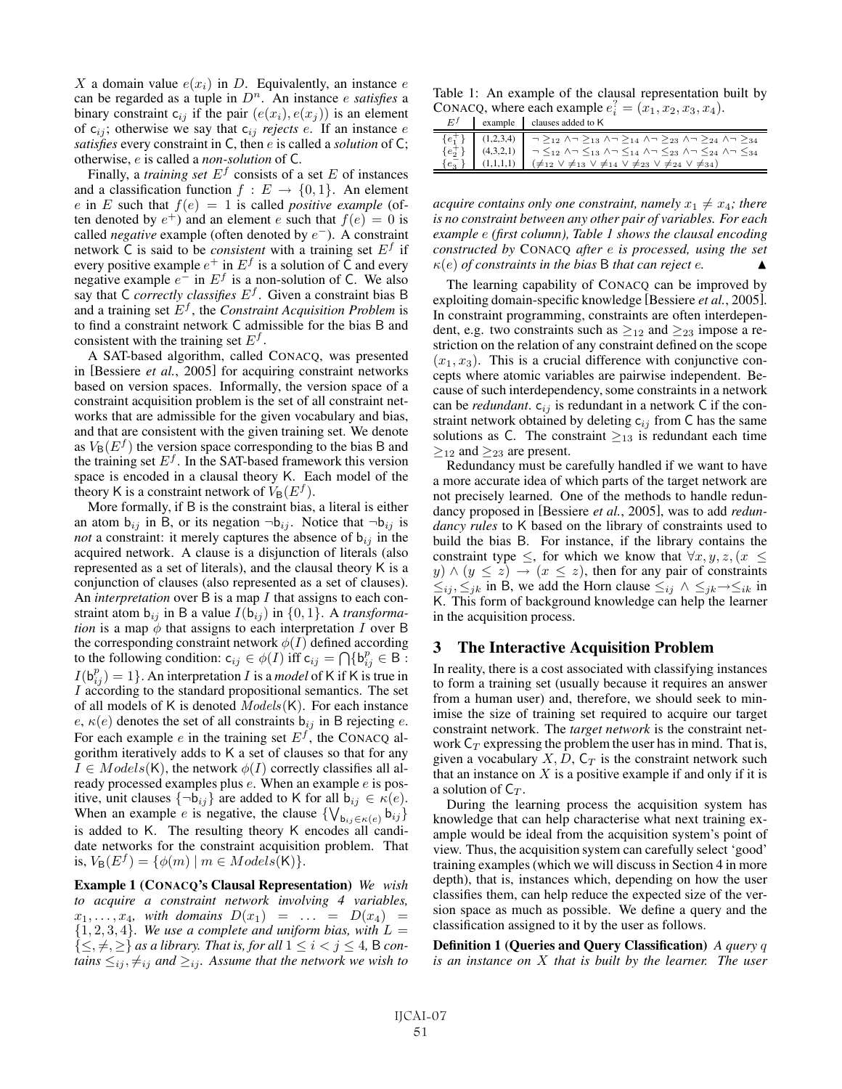X a domain value  $e(x_i)$  in D. Equivalently, an instance e can be regarded as a tuple in  $D<sup>n</sup>$ . An instance *e satisfies* a binary constraint  $c_{ij}$  if the pair  $(e(x_i), e(x_j))$  is an element of  $c_{ij}$ ; otherwise we say that  $c_{ij}$  *rejects e*. If an instance *e satisfies* every constraint in C, then e is called a *solution* of C; otherwise, e is called a *non-solution* of C.

Finally, a *training set*  $E^f$  consists of a set  $E$  of instances and a classification function  $f : E \to \{0, 1\}$ . An element e in E such that  $f(e)=1$  is called *positive example* (often denoted by  $e^+$ ) and an element e such that  $f(e)=0$  is called *negative* example (often denoted by e<sup>−</sup>). A constraint network C is said to be *consistent* with a training set  $E<sup>f</sup>$  if every positive example  $e^+$  in  $E^f$  is a solution of  $\overline{C}$  and every negative example  $e^-$  in  $E^f$  is a non-solution of C. We also say that C *correctly classifies* E<sup>f</sup> . Given a constraint bias B and a training set E<sup>f</sup> , the *Constraint Acquisition Problem* is to find a constraint network C admissible for the bias B and consistent with the training set  $E^f$ .

A SAT-based algorithm, called CONACQ, was presented in [Bessiere *et al.*, 2005] for acquiring constraint networks based on version spaces. Informally, the version space of a constraint acquisition problem is the set of all constraint networks that are admissible for the given vocabulary and bias, and that are consistent with the given training set. We denote as  $V_B(E^f)$  the version space corresponding to the bias B and the training set  $E^f$ . In the SAT-based framework this version space is encoded in a clausal theory K. Each model of the theory K is a constraint network of  $V_B(E^f)$ .

More formally, if B is the constraint bias, a literal is either an atom  $b_{ij}$  in B, or its negation  $\neg b_{ij}$ . Notice that  $\neg b_{ij}$  is *not* a constraint: it merely captures the absence of  $b_{ij}$  in the acquired network. A clause is a disjunction of literals (also represented as a set of literals), and the clausal theory K is a conjunction of clauses (also represented as a set of clauses). An *interpretation* over B is a map I that assigns to each constraint atom  $b_{ij}$  in B a value  $I(b_{ij})$  in  $\{0,1\}$ . A *transformation* is a map  $\phi$  that assigns to each interpretation I over B the corresponding constraint network  $\phi(I)$  defined according to the following condition:  $c_{ij} \in \phi(I)$  iff  $c_{ij} = \bigcap \{b_{ij}^p \in B\}$ .  $I(\mathbf{b}_{ij}^p) = 1$ . An interpretation *I* is a *model* of K if K is true in I according to the standard propositional semantics. The set of all models of K is denoted  $Models(K)$ . For each instance e,  $\kappa(e)$  denotes the set of all constraints  $b_{ij}$  in B rejecting e. For each example e in the training set  $E<sup>f</sup>$ , the CONACQ algorithm iteratively adds to K a set of clauses so that for any  $I \in Models(K)$ , the network  $\phi(I)$  correctly classifies all already processed examples plus e. When an example e is positive, unit clauses  $\{\neg b_{ij}\}$  are added to K for all  $b_{ij} \in \kappa(e)$ . When an example *e* is negative, the clause  $\{V_{\mathbf{b}_{ij}\in\kappa(e)}\}_{ij}$ is added to K. The resulting theory K encodes all candidate networks for the constraint acquisition problem. That is,  $V_{\mathsf{B}}(E^f) = \{ \phi(m) \mid m \in Models(\mathsf{K}) \}.$ 

Example 1 (CONACQ's Clausal Representation) *We wish to acquire a constraint network involving 4 variables,*  $x_1, \ldots, x_4$ *, with domains*  $D(x_1) = \ldots = D(x_4) =$  $\{1, 2, 3, 4\}$ *. We use a complete and uniform bias, with*  $L =$  $\{\leq, \neq, \geq\}$  *as a library. That is, for all*  $1 \leq i < j \leq 4$ , B *contains*  $\leq_{ij}$ ,  $\neq_{ij}$  *and*  $\geq_{ij}$ *. Assume that the network we wish to* 

Table 1: An example of the clausal representation built by CONACQ, where each example  $e_i^2 = (x_1, x_2, x_3, x_4)$ .  $E<sup>f</sup>$  example clauses added to K

| $\mathbf{I}$ | $\alpha$ called $\alpha$ clauses added to $\alpha$                                                                                                                                                                                                                                                                                                                                                                                                                                                                                                     |
|--------------|--------------------------------------------------------------------------------------------------------------------------------------------------------------------------------------------------------------------------------------------------------------------------------------------------------------------------------------------------------------------------------------------------------------------------------------------------------------------------------------------------------------------------------------------------------|
|              | $\{e_1^+\}$ $(1,2,3,4)$ $\Box$ $\supset$ $\supset$ $\supset$ $\Box$ $\wedge \neg \geq_{13}$ $\wedge \neg \geq_{14}$ $\wedge \neg \geq_{23}$ $\wedge \neg \geq_{24}$ $\wedge \neg \geq_{34}$<br>$\{e_2^2\}$ (4,3,2,1) $\begin{vmatrix} -2 & -2 & -2 & -1 \\ 6 & 2 & 3 \end{vmatrix}$ (4,3,2,1) $\begin{vmatrix} -2 & -2 & -2 & -1 \\ 2 & 1 & 2 & 3 \end{vmatrix}$ (1,1,1,1) $\begin{vmatrix} -2 & 2 & 3 \\ 2 & 1 & 2 \end{vmatrix}$ (1,1,1,1) $\begin{vmatrix} -2 & 2 & 3 \\ 2 & 1 & 2 \end{vmatrix}$ (1,1,1,1) $\begin{vmatrix} -2 & 2 & 3 \\ 2 & 1 &$ |
|              |                                                                                                                                                                                                                                                                                                                                                                                                                                                                                                                                                        |

*acquire contains only one constraint, namely*  $x_1 \neq x_4$ *; there is no constraint between any other pair of variables. For each example* e *(first column), Table 1 shows the clausal encoding constructed by* CONACQ *after* e *is processed, using the set*  $\kappa(e)$  *of constraints in the bias* B *that can reject e.* 

The learning capability of CONACQ can be improved by exploiting domain-specific knowledge [Bessiere *et al.*, 2005]. In constraint programming, constraints are often interdependent, e.g. two constraints such as  $\geq_{12}$  and  $\geq_{23}$  impose a restriction on the relation of any constraint defined on the scope  $(x_1, x_3)$ . This is a crucial difference with conjunctive concepts where atomic variables are pairwise independent. Because of such interdependency, some constraints in a network can be *redundant*.  $c_{ij}$  is redundant in a network C if the constraint network obtained by deleting  $c_{ij}$  from C has the same solutions as C. The constraint  $\geq_{13}$  is redundant each time  $\geq_{12}$  and  $\geq_{23}$  are present.

Redundancy must be carefully handled if we want to have a more accurate idea of which parts of the target network are not precisely learned. One of the methods to handle redundancy proposed in [Bessiere *et al.*, 2005], was to add *redundancy rules* to K based on the library of constraints used to build the bias B. For instance, if the library contains the constraint type  $\leq$ , for which we know that  $\forall x, y, z, (x \leq$  $y) \wedge (y \leq z) \rightarrow (x \leq z)$ , then for any pair of constraints  $\leq_{ij}$ ,  $\leq_{jk}$  in B, we add the Horn clause  $\leq_{ij}$  ∧  $\leq_{jk}$  →  $\leq_{ik}$  in K. This form of background knowledge can help the learner in the acquisition process.

## 3 The Interactive Acquisition Problem

In reality, there is a cost associated with classifying instances to form a training set (usually because it requires an answer from a human user) and, therefore, we should seek to minimise the size of training set required to acquire our target constraint network. The *target network* is the constraint network  $C_T$  expressing the problem the user has in mind. That is, given a vocabulary X, D,  $C_T$  is the constraint network such that an instance on  $X$  is a positive example if and only if it is a solution of  $C_T$ .

During the learning process the acquisition system has knowledge that can help characterise what next training example would be ideal from the acquisition system's point of view. Thus, the acquisition system can carefully select 'good' training examples (which we will discuss in Section 4 in more depth), that is, instances which, depending on how the user classifies them, can help reduce the expected size of the version space as much as possible. We define a query and the classification assigned to it by the user as follows.

Definition 1 (Queries and Query Classification) *A query* q *is an instance on* X *that is built by the learner. The user*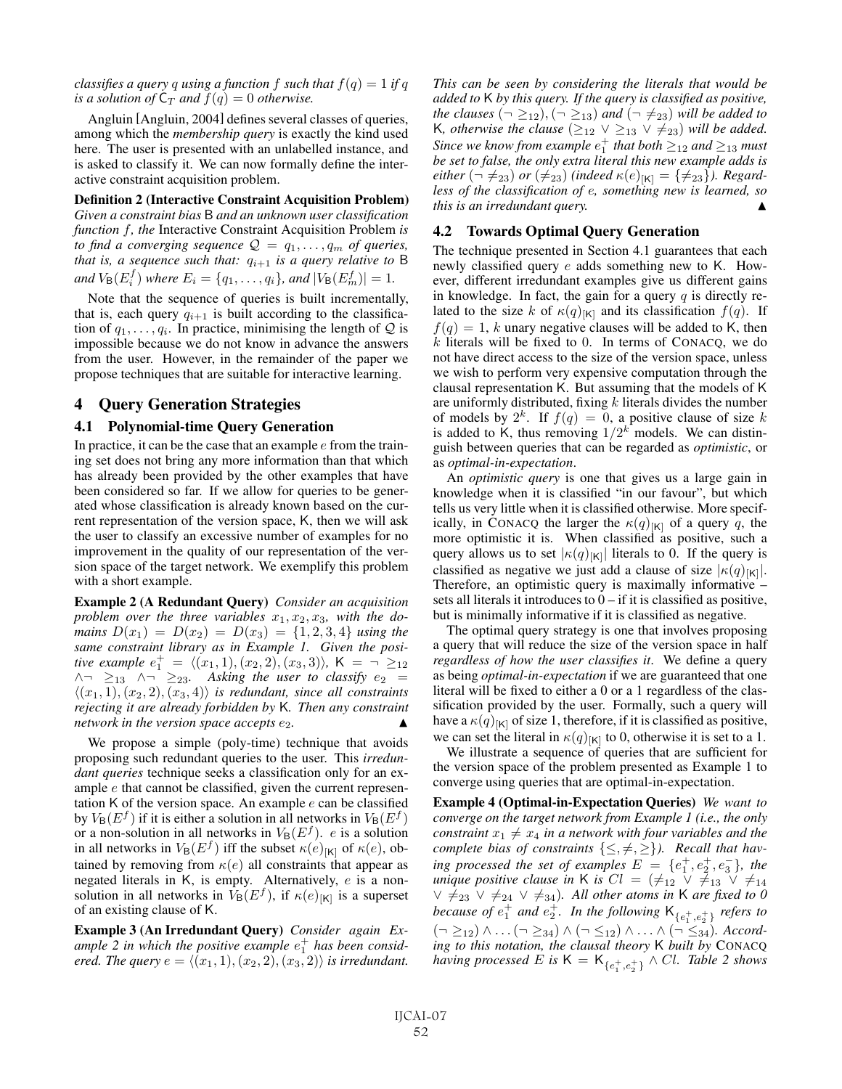*classifies a query* q *using* a function f *such that*  $f(q) = 1$  *if* q *is a solution of*  $C_T$  *and*  $f(q) = 0$  *otherwise.* 

Angluin [Angluin, 2004] defines several classes of queries, among which the *membership query* is exactly the kind used here. The user is presented with an unlabelled instance, and is asked to classify it. We can now formally define the interactive constraint acquisition problem.

Definition 2 (Interactive Constraint Acquisition Problem) *Given a constraint bias* B *and an unknown user classification function* f*, the* Interactive Constraint Acquisition Problem *is to find a converging sequence*  $Q = q_1, \ldots, q_m$  *of queries, that is, a sequence such that:*  $q_{i+1}$  *is a query relative to* B *and*  $V_{\mathsf{B}}(E_i^f)$  *where*  $E_i = \{q_1, \ldots, q_i\}$ *, and*  $|V_{\mathsf{B}}(E_m^f)| = 1$ *.* 

Note that the sequence of queries is built incrementally, that is, each query  $q_{i+1}$  is built according to the classification of  $q_1, \ldots, q_i$ . In practice, minimising the length of Q is impossible because we do not know in advance the answers from the user. However, in the remainder of the paper we propose techniques that are suitable for interactive learning.

### 4 Query Generation Strategies

#### 4.1 Polynomial-time Query Generation

In practice, it can be the case that an example  $e$  from the training set does not bring any more information than that which has already been provided by the other examples that have been considered so far. If we allow for queries to be generated whose classification is already known based on the current representation of the version space, K, then we will ask the user to classify an excessive number of examples for no improvement in the quality of our representation of the version space of the target network. We exemplify this problem with a short example.

Example 2 (A Redundant Query) *Consider an acquisition* problem over the three variables  $x_1, x_2, x_3$ , with the do*mains*  $D(x_1) = D(x_2) = D(x_3) = \{1, 2, 3, 4\}$  *using the same constraint library as in Example 1. Given the positive example*  $e_1^+ = \langle (x_1, 1), (x_2, 2), (x_3, 3) \rangle$ ,  $K = \neg \geq_{12}$  $\land\lnot\geq_{13}$   $\land\lnot\geq_{23}$ . Asking the user to classify  $e_2$  =  $\langle (x_1, 1), (x_2, 2), (x_3, 4) \rangle$  *is redundant, since all constraints rejecting it are already forbidden by* K*. Then any constraint network in the version space accepts*  $e_2$ *.* 

We propose a simple (poly-time) technique that avoids proposing such redundant queries to the user. This *irredundant queries* technique seeks a classification only for an example e that cannot be classified, given the current representation K of the version space. An example  $e$  can be classified by  $V_B(E^f)$  if it is either a solution in all networks in  $V_B(E^f)$ or a non-solution in all networks in  $V_B(E^f)$ . *e* is a solution in all networks in  $V_{\mathsf{B}}(E^f)$  iff the subset  $\kappa(e)_{[\mathsf{K}]}$  of  $\kappa(e)$ , obtained by removing from  $\kappa(e)$  all constraints that appear as negated literals in K, is empty. Alternatively, e is a nonsolution in all networks in  $V_B(E^f)$ , if  $\kappa(e)_{[K]}$  is a superset of an existing clause of K.

Example 3 (An Irredundant Query) *Consider again Ex*ample  $2$  in which the positive example  $e_1^+$  has been consid*ered. The query*  $e = \langle (x_1, 1), (x_2, 2), (x_3, 2) \rangle$  *is irredundant.*  *This can be seen by considering the literals that would be added to* K *by this query. If the query is classified as positive, the clauses*  $(\neg \geq_{12})$ ,  $(\neg \geq_{13})$  *and*  $(\neg \neq_{23})$  *will be added to* K, otherwise the clause  $(\geq_{12} \vee \geq_{13} \vee \neq_{23})$  will be added. Since we know from example  $e_1^+$  that both  $\geq_{12}$  and  $\geq_{13}$  must *be set to false, the only extra literal this new example adds is either*  $(\neg \neq_{23})$  *or*  $(\neq_{23})$  *(indeed*  $\kappa(e)_{[K]} = {\neq_{23}}$ *). Regardless of the classification of* e*, something new is learned, so this is an irredundant query.* 

#### 4.2 Towards Optimal Query Generation

The technique presented in Section 4.1 guarantees that each newly classified query e adds something new to K. However, different irredundant examples give us different gains in knowledge. In fact, the gain for a query  $q$  is directly related to the size k of  $\kappa(q)_{[K]}$  and its classification  $f(q)$ . If  $f(q)=1$ , k unary negative clauses will be added to K, then  $k$  literals will be fixed to 0. In terms of CONACQ, we do not have direct access to the size of the version space, unless we wish to perform very expensive computation through the clausal representation K. But assuming that the models of K are uniformly distributed, fixing  $k$  literals divides the number of models by  $2^k$ . If  $f(q)=0$ , a positive clause of size k is added to K, thus removing  $1/2<sup>k</sup>$  models. We can distinguish between queries that can be regarded as *optimistic*, or as *optimal-in-expectation*.

An *optimistic query* is one that gives us a large gain in knowledge when it is classified "in our favour", but which tells us very little when it is classified otherwise. More specifically, in CONACQ the larger the  $\kappa(q)_{[K]}$  of a query q, the more optimistic it is. When classified as positive, such a query allows us to set  $|\kappa(q)|_{K}$  literals to 0. If the query is classified as negative we just add a clause of size  $|\kappa(q)|_{[K]}|$ . Therefore, an optimistic query is maximally informative – sets all literals it introduces to  $0 - if$  it is classified as positive, but is minimally informative if it is classified as negative.

The optimal query strategy is one that involves proposing a query that will reduce the size of the version space in half *regardless of how the user classifies it*. We define a query as being *optimal-in-expectation* if we are guaranteed that one literal will be fixed to either a 0 or a 1 regardless of the classification provided by the user. Formally, such a query will have a  $\kappa(q)_{[K]}$  of size 1, therefore, if it is classified as positive, we can set the literal in  $\kappa(q)_{[K]}$  to 0, otherwise it is set to a 1.

We illustrate a sequence of queries that are sufficient for the version space of the problem presented as Example 1 to converge using queries that are optimal-in-expectation.

Example 4 (Optimal-in-Expectation Queries) *We want to converge on the target network from Example 1 (i.e., the only constraint*  $x_1 \neq x_4$  *in a network with four variables and the complete bias of constraints*  $\{\leq, \neq, \geq\}$ *). Recall that having processed the set of examples*  $E = \{e_1^+, e_2^+, e_3^-\}$ *, the unique positive clause in* K *is*  $Cl = (\neq_{12} \vee \neq_{13} \vee \neq_{14})$  $\vee$   $\neq$ <sub>23</sub>  $\vee$   $\neq$ <sub>24</sub>  $\vee$   $\neq$ <sub>34</sub>). All other atoms in K are fixed to 0 because of  $e_1^+$  and  $e_2^+$ . In the following  $\mathsf{K}_{\{e_1^+,e_2^+\}}$  *refers to* (¬ ≥12) ∧ ...(¬ ≥34) ∧ (¬ ≤12) ∧ ... ∧ (¬ ≤34)*. According to this notation, the clausal theory* K *built by* CONACQ *having processed* E is  $\mathsf{K} = \mathsf{K}_{\{e_1^+, e_2^+\}} \wedge Cl$ . Table 2 shows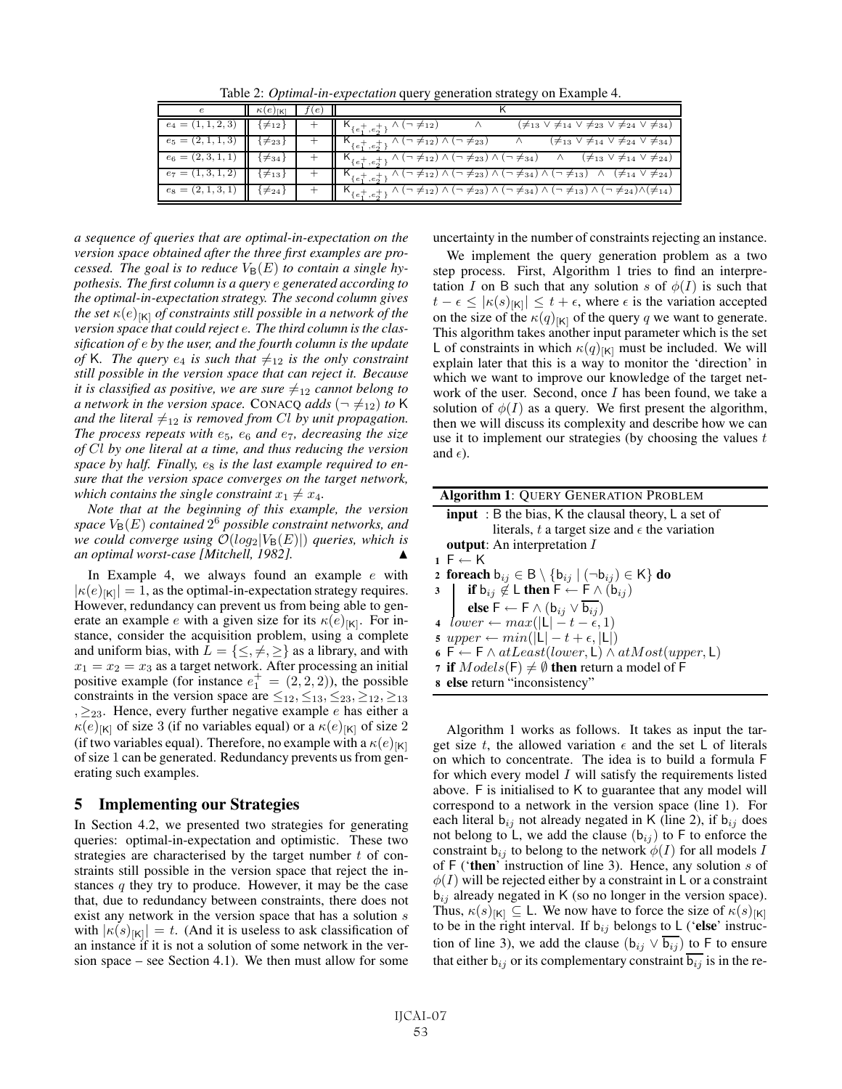Table 2: *Optimal-in-expectation* query generation strategy on Example 4.

|                      | $\kappa(e)_{\lceil\mathsf{k}\rceil}$ | l e I |                                                                                                                                                                                    |
|----------------------|--------------------------------------|-------|------------------------------------------------------------------------------------------------------------------------------------------------------------------------------------|
| $e_4 = (1, 1, 2, 3)$ | (12≢ ⊁                               |       | $(\neq_{13} \vee \neq_{14} \vee \neq_{23} \vee \neq_{24} \vee \neq_{34})$<br>$\kappa_{\{e_1^+,e_2^+\}} \wedge (\neg \neq_{12})$                                                    |
| $e_5 = (2, 1, 1, 3)$ | {≠23 j                               |       | $\wedge$ $(\neq_{13} \vee \neq_{14} \vee \neq_{24} \vee \neq_{34})$<br>$\wedge$ ( $\rightarrow \neq$ 12) $\wedge$ ( $\rightarrow \neq$ 23)<br>$K_{\{e_1^+,e_2^+\}}$                |
| $e_6 = (2, 3, 1, 1)$ | ¦≠34 }                               |       | $\wedge$ ( $\neg \neq_{12}$ ) $\wedge$ ( $\neg \neq_{23}$ ) $\wedge$ ( $\neg \neq_{34}$ ) $\wedge$ ( $\not \neq_{13}$ $\vee \neq_{14}$ $\vee \neq_{24}$ )<br>$K_{\{e_1^+,e_2^+\}}$ |
| $e_7 = (1, 3, 1, 2)$ | $\neq$ 13                            |       | $\kappa_{\{e_1^+,e_2^+\}} \wedge (\neg \neq_{12}) \wedge (\neg \neq_{23}) \wedge (\neg \neq_{34}) \wedge (\neg \neq_{13}) \wedge (\neq_{14} \vee \neq_{24})$                       |
| $e_8 = (2, 1, 3, 1)$ | $\neq$ 24                            |       | $K_{\{e_1^+,e_2^+\}} \wedge (\neg \neq_{12}) \wedge (\neg \neq_{23}) \wedge (\neg \neq_{34}) \wedge (\neg \neq_{13}) \wedge (\neg \neq_{24}) \wedge (\neq_{14})$                   |

*a sequence of queries that are optimal-in-expectation on the version space obtained after the three first examples are processed. The goal is to reduce*  $V_B(E)$  *to contain a single hypothesis. The first column is a query* e *generated according to the optimal-in-expectation strategy. The second column gives the set*  $\kappa(e)_{[K]}$  *of constraints still possible in a network of the version space that could reject* e*. The third column is the classification of* e *by the user, and the fourth column is the update of* K. The query  $e_4$  *is such that*  $\neq_{12}$  *is the only constraint still possible in the version space that can reject it. Because it is classified as positive, we are sure*  $\neq_{12}$  *cannot belong to a network in the version space.* CONACQ *adds* ( $\neg \neq_{12}$ ) *to* K *and the literal*  $\neq_{12}$  *is removed from Cl by unit propagation. The process repeats with*  $e_5$ ,  $e_6$  *and*  $e_7$ , *decreasing the size of* Cl *by one literal at a time, and thus reducing the version* space by half. Finally,  $e_8$  is the last example required to en*sure that the version space converges on the target network, which contains the single constraint*  $x_1 \neq x_4$ .

*Note that at the beginning of this example, the version*  $space V_B(E)$  *contained*  $2^6$  *possible constraint networks, and we could converge using*  $\mathcal{O}(log_2|V_B(E)|)$  *queries, which is an optimal worst-case [Mitchell, 1982].* -

In Example 4, we always found an example  $e$  with  $|\kappa(e)|_{\text{K}}| = 1$ , as the optimal-in-expectation strategy requires. However, redundancy can prevent us from being able to generate an example e with a given size for its  $\kappa(e)_{[K]}$ . For instance, consider the acquisition problem, using a complete and uniform bias, with  $L = \{\leq, \neq, \geq\}$  as a library, and with  $x_1 = x_2 = x_3$  as a target network. After processing an initial positive example (for instance  $e_1^+ = (2, 2, 2)$ ), the possible constraints in the version space are  $\leq_{12}, \leq_{13}, \leq_{23}, \geq_{12}, \geq_{13}$  $, \geq_{23}$ . Hence, every further negative example e has either a  $\kappa(e)_{[K]}$  of size 3 (if no variables equal) or a  $\kappa(e)_{[K]}$  of size 2 (if two variables equal). Therefore, no example with a  $\kappa(e)_{[K]}$ of size 1 can be generated. Redundancy prevents us from generating such examples.

#### 5 Implementing our Strategies

In Section 4.2, we presented two strategies for generating queries: optimal-in-expectation and optimistic. These two strategies are characterised by the target number  $t$  of constraints still possible in the version space that reject the instances  $q$  they try to produce. However, it may be the case that, due to redundancy between constraints, there does not exist any network in the version space that has a solution s with  $|\kappa(s)|_{[K]}| = t$ . (And it is useless to ask classification of an instance if it is not a solution of some network in the version space – see Section 4.1). We then must allow for some uncertainty in the number of constraints rejecting an instance.

We implement the query generation problem as a two step process. First, Algorithm 1 tries to find an interpretation I on B such that any solution s of  $\phi(I)$  is such that  $t - \epsilon \leq |\kappa(s)| |\kappa| \leq t + \epsilon$ , where  $\epsilon$  is the variation accepted on the size of the  $\kappa(q)_{[K]}$  of the query q we want to generate. This algorithm takes another input parameter which is the set L of constraints in which  $\kappa(q)_{[K]}$  must be included. We will explain later that this is a way to monitor the 'direction' in which we want to improve our knowledge of the target network of the user. Second, once  $I$  has been found, we take a solution of  $\phi(I)$  as a query. We first present the algorithm, then we will discuss its complexity and describe how we can use it to implement our strategies (by choosing the values  $t$ and  $\epsilon$ ).

| <b>Algorithm 1: QUERY GENERATION PROBLEM</b>                                                                                                                                           |  |  |  |  |  |  |
|----------------------------------------------------------------------------------------------------------------------------------------------------------------------------------------|--|--|--|--|--|--|
| <b>input</b> : B the bias, K the clausal theory, L a set of                                                                                                                            |  |  |  |  |  |  |
| literals, t a target size and $\epsilon$ the variation                                                                                                                                 |  |  |  |  |  |  |
| <b>output:</b> An interpretation I                                                                                                                                                     |  |  |  |  |  |  |
| $1 \nvdash \leftarrow \mathsf{K}$                                                                                                                                                      |  |  |  |  |  |  |
| 2 foreach $b_{ij} \in B \setminus \{b_{ij} \mid (\neg b_{ij}) \in K\}$ do                                                                                                              |  |  |  |  |  |  |
|                                                                                                                                                                                        |  |  |  |  |  |  |
| 3 <b>if</b> $b_{ij} \notin L$ then $\overline{F} \leftarrow \overline{F} \wedge (b_{ij})$<br><b>else</b> $\overline{F} \leftarrow \overline{F} \wedge (b_{ij} \vee \overline{b_{ij}})$ |  |  |  |  |  |  |
| 4 $lower \leftarrow max( L  - t - \epsilon, 1)$                                                                                                                                        |  |  |  |  |  |  |
| 5 upper $\leftarrow min( L  - t + \epsilon,  L )$                                                                                                                                      |  |  |  |  |  |  |
| 6 F $\leftarrow$ F $\wedge$ at Least(lower, L) $\wedge$ at Most(upper, L)                                                                                                              |  |  |  |  |  |  |
| 7 if $Models(F) \neq \emptyset$ then return a model of F                                                                                                                               |  |  |  |  |  |  |
| s else return "inconsistency"                                                                                                                                                          |  |  |  |  |  |  |

Algorithm 1 works as follows. It takes as input the target size t, the allowed variation  $\epsilon$  and the set L of literals on which to concentrate. The idea is to build a formula F for which every model I will satisfy the requirements listed above. F is initialised to K to guarantee that any model will correspond to a network in the version space (line 1). For each literal  $b_{ij}$  not already negated in K (line 2), if  $b_{ij}$  does not belong to L, we add the clause  $(b_{ij})$  to F to enforce the constraint  $b_{ij}$  to belong to the network  $\phi(I)$  for all models I of  $F$  ('then' instruction of line 3). Hence, any solution s of  $\phi(I)$  will be rejected either by a constraint in L or a constraint  $b_{ij}$  already negated in K (so no longer in the version space). Thus,  $\kappa(s)_{[K]} \subseteq L$ . We now have to force the size of  $\kappa(s)_{[K]}$ to be in the right interval. If  $b_{ij}$  belongs to L ('else' instruction of line 3), we add the clause  $(b_{ij} \vee \overline{b_{ij}})$  to F to ensure that either  $b_{ij}$  or its complementary constraint  $\overline{b_{ij}}$  is in the re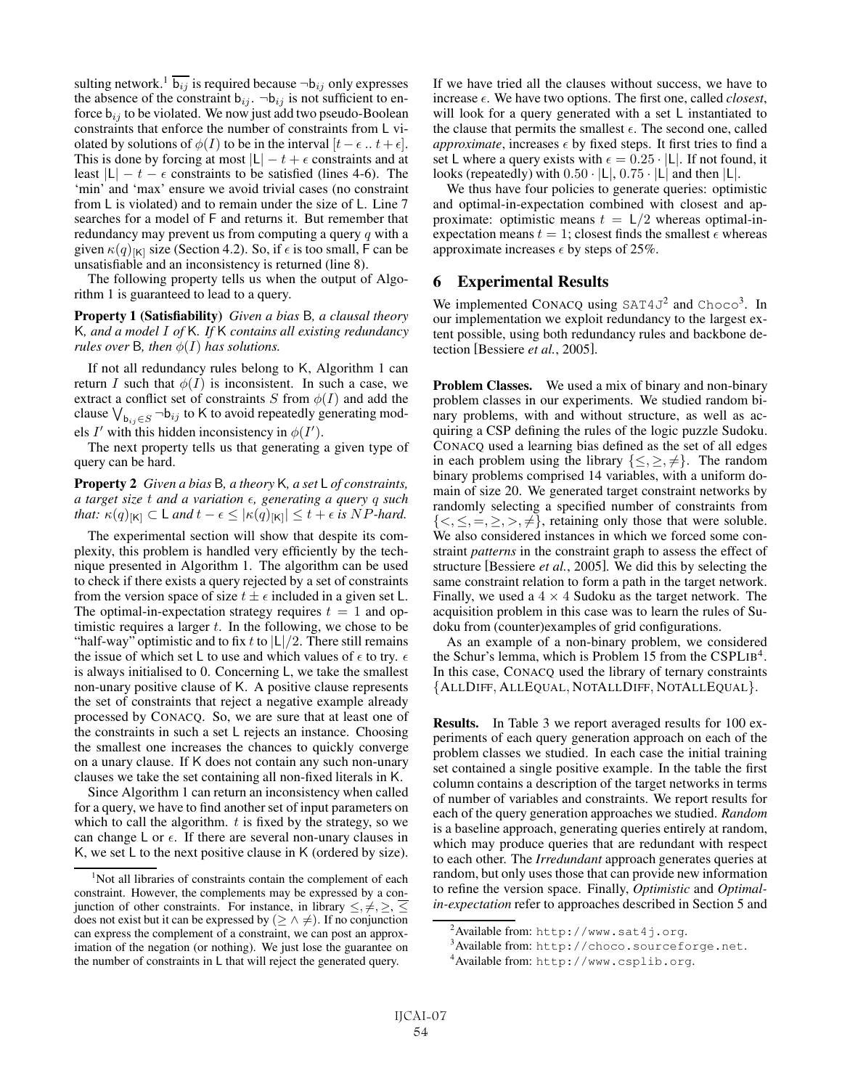sulting network.<sup>1</sup>  $\overline{b_{ij}}$  is required because  $\neg b_{ij}$  only expresses the absence of the constraint  $b_{ij}$ .  $\neg b_{ij}$  is not sufficient to enforce  $b_{ij}$  to be violated. We now just add two pseudo-Boolean constraints that enforce the number of constraints from L violated by solutions of  $\phi(I)$  to be in the interval  $[t - \epsilon : t + \epsilon]$ . This is done by forcing at most  $|L| - t + \epsilon$  constraints and at least  $|L| - t - \epsilon$  constraints to be satisfied (lines 4-6). The 'min' and 'max' ensure we avoid trivial cases (no constraint from L is violated) and to remain under the size of L. Line 7 searches for a model of F and returns it. But remember that redundancy may prevent us from computing a query  $q$  with a given  $\kappa(q)_{\vert\mathsf{K}\vert}$  size (Section 4.2). So, if  $\epsilon$  is too small, F can be unsatisfiable and an inconsistency is returned (line 8).

The following property tells us when the output of Algorithm 1 is guaranteed to lead to a query.

Property 1 (Satisfiability) *Given a bias* B*, a clausal theory* K*, and a model* I *of* K*. If* K *contains all existing redundancy rules over* B, then  $\phi(I)$  *has solutions.* 

If not all redundancy rules belong to K, Algorithm 1 can return I such that  $\phi(I)$  is inconsistent. In such a case, we extract a conflict set of constraints S from  $\phi(I)$  and add the clause  $\bigvee_{b_{ij} \in S} \neg b_{ij}$  to K to avoid repeatedly generating models  $I'$  with this hidden inconsistency in  $\phi(I')$ .

The next property tells us that generating a given type of query can be hard.

Property 2 *Given a bias* B*, a theory* K*, a set* L *of constraints, a target size* t *and a variation , generating a query* q *such that:*  $\kappa(q)_{\lbrack K\rbrack} \subset L$  *and*  $t - \epsilon \leq |\kappa(q)_{\lbrack K\rbrack}| \leq t + \epsilon$  *is* NP-hard.

The experimental section will show that despite its complexity, this problem is handled very efficiently by the technique presented in Algorithm 1. The algorithm can be used to check if there exists a query rejected by a set of constraints from the version space of size  $t \pm \epsilon$  included in a given set L. The optimal-in-expectation strategy requires  $t = 1$  and optimistic requires a larger  $t$ . In the following, we chose to be "half-way" optimistic and to fix t to  $|L|/2$ . There still remains the issue of which set L to use and which values of  $\epsilon$  to try.  $\epsilon$ is always initialised to 0. Concerning L, we take the smallest non-unary positive clause of K. A positive clause represents the set of constraints that reject a negative example already processed by CONACQ. So, we are sure that at least one of the constraints in such a set L rejects an instance. Choosing the smallest one increases the chances to quickly converge on a unary clause. If K does not contain any such non-unary clauses we take the set containing all non-fixed literals in K.

Since Algorithm 1 can return an inconsistency when called for a query, we have to find another set of input parameters on which to call the algorithm.  $t$  is fixed by the strategy, so we can change  $\mathsf L$  or  $\epsilon$ . If there are several non-unary clauses in K, we set L to the next positive clause in K (ordered by size). If we have tried all the clauses without success, we have to increase  $\epsilon$ . We have two options. The first one, called *closest*, will look for a query generated with a set L instantiated to the clause that permits the smallest  $\epsilon$ . The second one, called *approximate*, increases  $\epsilon$  by fixed steps. It first tries to find a set L where a query exists with  $\epsilon = 0.25 \cdot |L|$ . If not found, it looks (repeatedly) with  $0.50 \cdot |L|$ ,  $0.75 \cdot |L|$  and then  $|L|$ .

We thus have four policies to generate queries: optimistic and optimal-in-expectation combined with closest and approximate: optimistic means  $t = \frac{\lfloor k/2 \rfloor}{2}$  whereas optimal-inexpectation means  $t = 1$ ; closest finds the smallest  $\epsilon$  whereas approximate increases  $\epsilon$  by steps of 25%.

#### 6 Experimental Results

We implemented CONACQ using  $SAT4J<sup>2</sup>$  and  $Choco<sup>3</sup>$ . In our implementation we exploit redundancy to the largest extent possible, using both redundancy rules and backbone detection [Bessiere *et al.*, 2005].

Problem Classes. We used a mix of binary and non-binary problem classes in our experiments. We studied random binary problems, with and without structure, as well as acquiring a CSP defining the rules of the logic puzzle Sudoku. CONACQ used a learning bias defined as the set of all edges in each problem using the library  $\{\leq, \geq, \neq\}$ . The random binary problems comprised 14 variables, with a uniform domain of size 20. We generated target constraint networks by randomly selecting a specified number of constraints from  $\{<,\leq,=,\geq,>,\neq\}$ , retaining only those that were soluble. We also considered instances in which we forced some constraint *patterns* in the constraint graph to assess the effect of structure [Bessiere *et al.*, 2005]. We did this by selecting the same constraint relation to form a path in the target network. Finally, we used a  $4 \times 4$  Sudoku as the target network. The acquisition problem in this case was to learn the rules of Sudoku from (counter)examples of grid configurations.

As an example of a non-binary problem, we considered the Schur's lemma, which is Problem 15 from the CSPLIB<sup>4</sup>. In this case, CONACQ used the library of ternary constraints {ALLDIFF, ALLEQUAL, NOTALLDIFF, NOTALLEQUAL}.

Results. In Table 3 we report averaged results for 100 experiments of each query generation approach on each of the problem classes we studied. In each case the initial training set contained a single positive example. In the table the first column contains a description of the target networks in terms of number of variables and constraints. We report results for each of the query generation approaches we studied. *Random* is a baseline approach, generating queries entirely at random, which may produce queries that are redundant with respect to each other. The *Irredundant* approach generates queries at random, but only uses those that can provide new information to refine the version space. Finally, *Optimistic* and *Optimalin-expectation* refer to approaches described in Section 5 and

<sup>&</sup>lt;sup>1</sup>Not all libraries of constraints contain the complement of each constraint. However, the complements may be expressed by a conjunction of other constraints. For instance, in library  $\leq, \neq, \geq, \leq$ does not exist but it can be expressed by  $(\geq \land \neq)$ . If no conjunction can express the complement of a constraint, we can post an approximation of the negation (or nothing). We just lose the guarantee on the number of constraints in L that will reject the generated query.

 $^{2}$ Available from: <code>http://www.sat4j.org.</code>

 $^3$ Available from: <code>http://choco.sourceforge.net.</code>

<sup>4</sup> Available from: http://www.csplib.org.